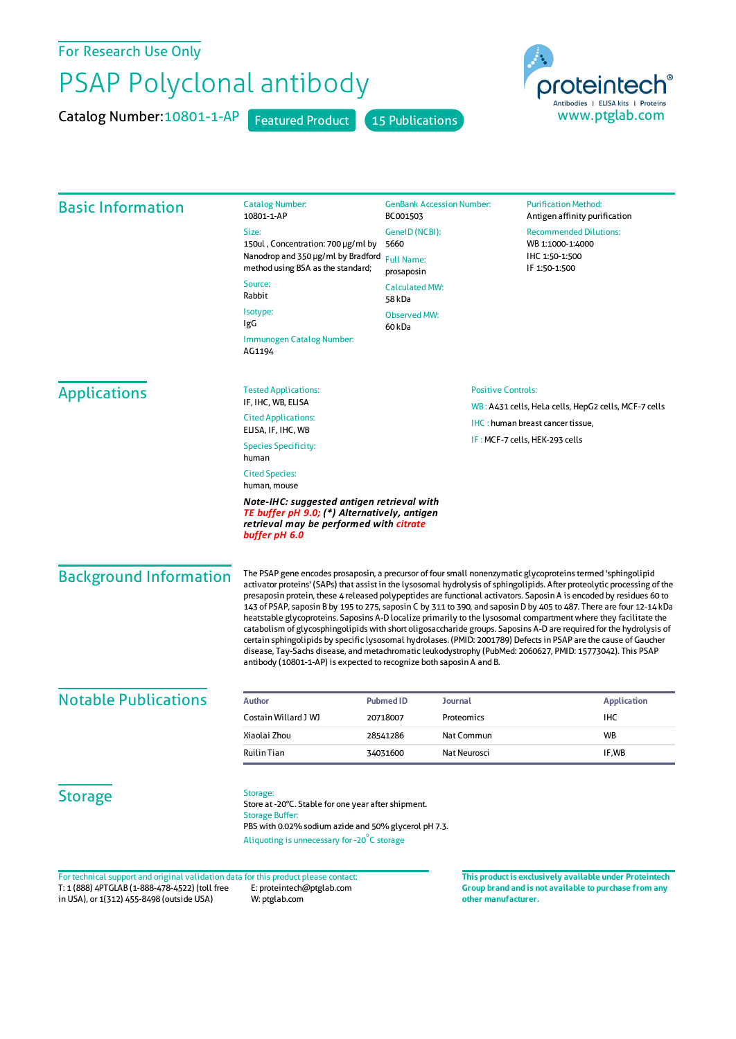For Research Use Only

## PSAP Polyclonal antibody

Catalog Number: 10801-1-AP Featured Product 15 Publications



|                               | 10801-1-AP<br>Size:                                                                                                                                                                                                                                                                                                                                                                                                                                                                                                                                                                                                                                                                                                                                                                                                                                                                                                                                                                                                                        | BC001503<br>GenelD (NCBI):                                         |                                                      |                                                                                    |  |
|-------------------------------|--------------------------------------------------------------------------------------------------------------------------------------------------------------------------------------------------------------------------------------------------------------------------------------------------------------------------------------------------------------------------------------------------------------------------------------------------------------------------------------------------------------------------------------------------------------------------------------------------------------------------------------------------------------------------------------------------------------------------------------------------------------------------------------------------------------------------------------------------------------------------------------------------------------------------------------------------------------------------------------------------------------------------------------------|--------------------------------------------------------------------|------------------------------------------------------|------------------------------------------------------------------------------------|--|
|                               |                                                                                                                                                                                                                                                                                                                                                                                                                                                                                                                                                                                                                                                                                                                                                                                                                                                                                                                                                                                                                                            |                                                                    |                                                      | Antigen affinity purification<br><b>Recommended Dilutions:</b><br>WB 1:1000-1:4000 |  |
|                               | 150ul, Concentration: 700 µg/ml by                                                                                                                                                                                                                                                                                                                                                                                                                                                                                                                                                                                                                                                                                                                                                                                                                                                                                                                                                                                                         | 5660                                                               |                                                      |                                                                                    |  |
|                               | Nanodrop and 350 µg/ml by Bradford                                                                                                                                                                                                                                                                                                                                                                                                                                                                                                                                                                                                                                                                                                                                                                                                                                                                                                                                                                                                         | <b>Full Name:</b><br>prosaposin<br><b>Calculated MW:</b><br>58 kDa |                                                      | IHC 1:50-1:500<br>IF 1:50-1:500                                                    |  |
|                               | method using BSA as the standard;                                                                                                                                                                                                                                                                                                                                                                                                                                                                                                                                                                                                                                                                                                                                                                                                                                                                                                                                                                                                          |                                                                    |                                                      |                                                                                    |  |
|                               | Source:<br>Rabbit                                                                                                                                                                                                                                                                                                                                                                                                                                                                                                                                                                                                                                                                                                                                                                                                                                                                                                                                                                                                                          |                                                                    |                                                      |                                                                                    |  |
|                               | Isotype:<br>IgG                                                                                                                                                                                                                                                                                                                                                                                                                                                                                                                                                                                                                                                                                                                                                                                                                                                                                                                                                                                                                            | <b>Observed MW:</b><br>60 kDa                                      |                                                      |                                                                                    |  |
|                               | Immunogen Catalog Number:<br>AG1194                                                                                                                                                                                                                                                                                                                                                                                                                                                                                                                                                                                                                                                                                                                                                                                                                                                                                                                                                                                                        |                                                                    |                                                      |                                                                                    |  |
| <b>Applications</b>           | <b>Tested Applications:</b>                                                                                                                                                                                                                                                                                                                                                                                                                                                                                                                                                                                                                                                                                                                                                                                                                                                                                                                                                                                                                | <b>Positive Controls:</b>                                          |                                                      |                                                                                    |  |
|                               | IF, IHC, WB, ELISA                                                                                                                                                                                                                                                                                                                                                                                                                                                                                                                                                                                                                                                                                                                                                                                                                                                                                                                                                                                                                         |                                                                    | WB: A431 cells, HeLa cells, HepG2 cells, MCF-7 cells |                                                                                    |  |
|                               | <b>Cited Applications:</b><br>ELISA, IF, IHC, WB                                                                                                                                                                                                                                                                                                                                                                                                                                                                                                                                                                                                                                                                                                                                                                                                                                                                                                                                                                                           |                                                                    | IHC: human breast cancer tissue,                     |                                                                                    |  |
|                               | <b>Species Specificity:</b><br>human                                                                                                                                                                                                                                                                                                                                                                                                                                                                                                                                                                                                                                                                                                                                                                                                                                                                                                                                                                                                       | IF: MCF-7 cells, HEK-293 cells                                     |                                                      |                                                                                    |  |
|                               | <b>Cited Species:</b><br>human, mouse                                                                                                                                                                                                                                                                                                                                                                                                                                                                                                                                                                                                                                                                                                                                                                                                                                                                                                                                                                                                      |                                                                    |                                                      |                                                                                    |  |
|                               | Note-IHC: suggested antigen retrieval with<br>TE buffer pH 9.0; (*) Alternatively, antigen<br>retrieval may be performed with citrate<br>buffer pH 6.0                                                                                                                                                                                                                                                                                                                                                                                                                                                                                                                                                                                                                                                                                                                                                                                                                                                                                     |                                                                    |                                                      |                                                                                    |  |
| <b>Background Information</b> | The PSAP gene encodes prosaposin, a precursor of four small nonenzymatic glycoproteins termed 'sphingolipid<br>activator proteins' (SAPs) that assist in the lysosomal hydrolysis of sphingolipids. After proteolytic processing of the<br>presaposin protein, these 4 released polypeptides are functional activators. Saposin A is encoded by residues 60 to<br>143 of PSAP, saposin B by 195 to 275, saposin C by 311 to 390, and saposin D by 405 to 487. There are four 12-14 kDa<br>heatstable glycoproteins. Saposins A-D localize primarily to the lysosomal compartment where they facilitate the<br>catabolism of glycosphingolipids with short oligosaccharide groups. Saposins A-D are required for the hydrolysis of<br>certain sphingolipids by specific lysosomal hydrolases. (PMID: 2001789) Defects in PSAP are the cause of Gaucher<br>disease, Tay-Sachs disease, and metachromatic leukodystrophy (PubMed: 2060627, PMID: 15773042). This PSAP<br>antibody (10801-1-AP) is expected to recognize both saposin A and B. |                                                                    |                                                      |                                                                                    |  |
| <b>Notable Publications</b>   | <b>Author</b>                                                                                                                                                                                                                                                                                                                                                                                                                                                                                                                                                                                                                                                                                                                                                                                                                                                                                                                                                                                                                              | <b>Pubmed ID</b>                                                   | Journal                                              | <b>Application</b>                                                                 |  |
|                               | Costain Willard J WJ                                                                                                                                                                                                                                                                                                                                                                                                                                                                                                                                                                                                                                                                                                                                                                                                                                                                                                                                                                                                                       | 20718007                                                           | Proteomics                                           | IHC                                                                                |  |
|                               | Xiaolai Zhou                                                                                                                                                                                                                                                                                                                                                                                                                                                                                                                                                                                                                                                                                                                                                                                                                                                                                                                                                                                                                               | 28541286                                                           | Nat Commun                                           | WB                                                                                 |  |
|                               | Ruilin Tian                                                                                                                                                                                                                                                                                                                                                                                                                                                                                                                                                                                                                                                                                                                                                                                                                                                                                                                                                                                                                                | 34031600                                                           | Nat Neurosci                                         | IF,WB                                                                              |  |
| <b>Storage</b>                | Storage:<br>Store at -20°C. Stable for one year after shipment.<br><b>Storage Buffer:</b><br>PBS with 0.02% sodium azide and 50% glycerol pH 7.3.                                                                                                                                                                                                                                                                                                                                                                                                                                                                                                                                                                                                                                                                                                                                                                                                                                                                                          |                                                                    |                                                      |                                                                                    |  |
|                               | Aliquoting is unnecessary for -20°C storage                                                                                                                                                                                                                                                                                                                                                                                                                                                                                                                                                                                                                                                                                                                                                                                                                                                                                                                                                                                                |                                                                    |                                                      |                                                                                    |  |

T: 1 (888) 4PTGLAB (1-888-478-4522) (toll free in USA), or 1(312) 455-8498 (outside USA) E: proteintech@ptglab.com W: ptglab.com

**Group brand and is not available to purchase from any other manufacturer.**